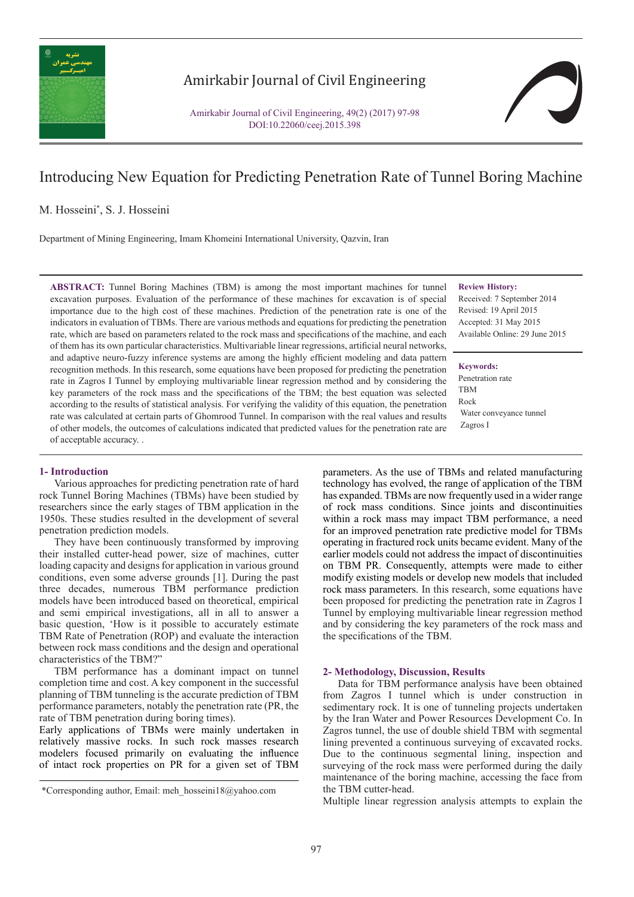

## Amirkabir Journal of Civil Engineering

Amirkabir Journal of Civil Engineering, 49(2) (2017) 97-98 DOI:10.22060/ceej.2015.398

# Introducing New Equation for Predicting Penetration Rate of Tunnel Boring Machine

M. Hosseini\* , S. J. Hosseini

Department of Mining Engineering, Imam Khomeini International University, Qazvin, Iran

**ABSTRACT:** Tunnel Boring Machines (TBM) is among the most important machines for tunnel excavation purposes. Evaluation of the performance of these machines for excavation is of special importance due to the high cost of these machines. Prediction of the penetration rate is one of the indicators in evaluation of TBMs. There are various methods and equations for predicting the penetration rate, which are based on parameters related to the rock mass and specifications of the machine, and each of them has its own particular characteristics. Multivariable linear regressions, artificial neural networks, and adaptive neuro-fuzzy inference systems are among the highly efficient modeling and data pattern recognition methods. In this research, some equations have been proposed for predicting the penetration rate in Zagros I Tunnel by employing multivariable linear regression method and by considering the key parameters of the rock mass and the specifications of the TBM; the best equation was selected according to the results of statistical analysis. For verifying the validity of this equation, the penetration rate was calculated at certain parts of Ghomrood Tunnel. In comparison with the real values and results of other models, the outcomes of calculations indicated that predicted values for the penetration rate are of acceptable accuracy. .

### **Review History:**

Received: 7 September 2014 Revised: 19 April 2015 Accepted: 31 May 2015 Available Online: 29 June 2015

#### **Keywords:**

Penetration rate TBM Rock Water conveyance tunnel Zagros I

#### **1- Introduction**

Various approaches for predicting penetration rate of hard rock Tunnel Boring Machines (TBMs) have been studied by researchers since the early stages of TBM application in the 1950s. These studies resulted in the development of several penetration prediction models.

They have been continuously transformed by improving their installed cutter-head power, size of machines, cutter loading capacity and designs for application in various ground conditions, even some adverse grounds [1]. During the past three decades, numerous TBM performance prediction models have been introduced based on theoretical, empirical and semi empirical investigations, all in all to answer a basic question, 'How is it possible to accurately estimate TBM Rate of Penetration (ROP) and evaluate the interaction between rock mass conditions and the design and operational characteristics of the TBM?"

TBM performance has a dominant impact on tunnel completion time and cost. A key component in the successful planning of TBM tunneling is the accurate prediction of TBM performance parameters, notably the penetration rate (PR, the rate of TBM penetration during boring times).

Early applications of TBMs were mainly undertaken in relatively massive rocks. In such rock masses research modelers focused primarily on evaluating the influence of intact rock properties on PR for a given set of TBM

parameters. As the use of TBMs and related manufacturing technology has evolved, the range of application of the TBM has expanded. TBMs are now frequently used in a wider range of rock mass conditions. Since joints and discontinuities within a rock mass may impact TBM performance, a need for an improved penetration rate predictive model for TBMs operating in fractured rock units became evident. Many of the earlier models could not address the impact of discontinuities on TBM PR. Consequently, attempts were made to either modify existing models or develop new models that included rock mass parameters. In this research, some equations have been proposed for predicting the penetration rate in Zagros I Tunnel by employing multivariable linear regression method and by considering the key parameters of the rock mass and the specifications of the TBM.

#### **2- Methodology, Discussion, Results**

Data for TBM performance analysis have been obtained from Zagros I tunnel which is under construction in sedimentary rock. It is one of tunneling projects undertaken by the Iran Water and Power Resources Development Co. In Zagros tunnel, the use of double shield TBM with segmental lining prevented a continuous surveying of excavated rocks. Due to the continuous segmental lining, inspection and surveying of the rock mass were performed during the daily maintenance of the boring machine, accessing the face from the TBM cutter-head.

Multiple linear regression analysis attempts to explain the

 <sup>\*</sup>Corresponding author, Email: meh\_hosseini18@yahoo.com